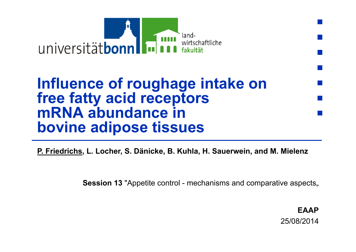

## **Influence of roughage intake on free fatty acid receptors mRNA abundance in bovine adipose tissues**

**P. Friedrichs, L. Locher, S. Dänicke, B. Kuhla, H. Sauerwein, and M. Mielenz**

**Session 13** "Appetite control - mechanisms and comparative aspects.

**EAAP**25/08/2014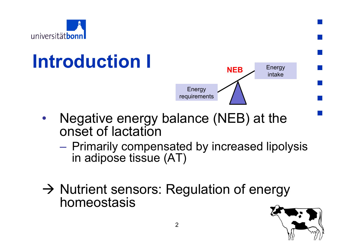

# **Introduction I**



- • Negative energy balance (NEB) at the onset of lactation
	- – Primarily compensated by increased lipolysis in adipose tissue (AT)
- $\rightarrow$  Nutrient sensors: Regulation of energy homeostasis

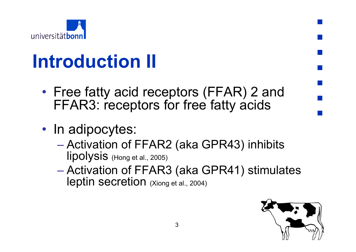

# **Introduction II**

- $\bullet$ • Free fatty acid receptors (FFAR) 2 and FFAR3: receptors for free fatty acids
- In adipocytes:
	- Activation of FFAR2 (aka GPR43) inhibits lipolysis (Hong et al., 2005)
	- – Activation of FFAR3 (aka GPR41) stimulates leptin secretion (Xiong et al., 2004)

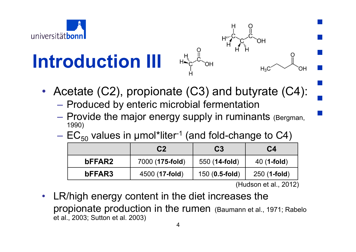

# **Introduction III**



• Acetate (C2), propionate (C3) and butyrate (C4):

- –– Produced by enteric microbial fermentation
- Provide the major energy supply in ruminants (Bergman, 1990)
- $-$  EC $_{50}$  values in µmol\*liter<sup>-1</sup> (and fold-change to C4)

|        | C <sub>2</sub>          | C <sub>3</sub>         | C4            |
|--------|-------------------------|------------------------|---------------|
| bFFAR2 | 7000 (175-fold)         | 550 ( <b>14-fold</b> ) | $40(1$ -fold) |
| bFFAR3 | 4500 ( <b>17-fold</b> ) | $150(0.5\text{-fold})$ | $250(1-fold)$ |

(Hudson et al., 2012)

• LR/high energy content in the diet increases the propionate production in the rumen (Baumann et al., 1971; Rabelo et al., 2003; Sutton et al. 2003)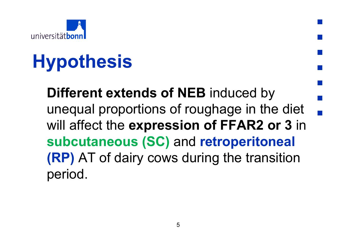

# **Hypothesis**

**Different extends of NEB** induced by unequal proportions of roughage in the diet will affect the **expression of FFAR2 or 3** in **subcutaneous (SC)** and **retroperitoneal (RP)** AT of dairy cows during the transition period.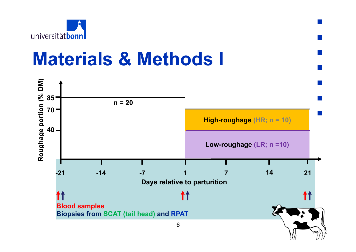

## **Materials & Methods I**

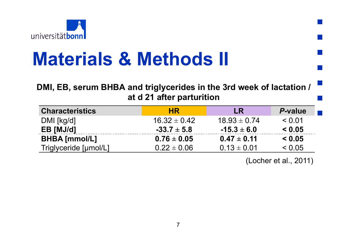

# **Materials & Methods II**

### **DMI, EB, serum BHBA and triglycerides in the 3rd week of lactation / at d 21 after parturition**

| <b>Characteristics</b> | <b>HR</b>        | <b>LR</b>        | <b>P-value</b> |
|------------------------|------------------|------------------|----------------|
| $DMI$ [kg/d]           | $16.32 \pm 0.42$ | $18.93 \pm 0.74$ | < 0.01         |
| EB [MJ/d]              | $-33.7 \pm 5.8$  | $-15.3 \pm 6.0$  | < 0.05         |
| <b>BHBA</b> [mmol/L]   | $0.76 \pm 0.05$  | $0.47 \pm 0.11$  | < 0.05         |
| Triglyceride [µmol/L]  | $0.22 \pm 0.06$  | $0.13 \pm 0.01$  | < 0.05         |

(Locher et al., 2011)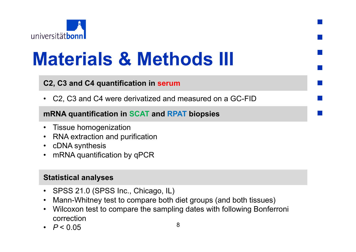

# **Materials & Methods III**

#### **C2, C3 and C4 quantification in serum**

• C2, C3 and C4 were derivatized and measured on a GC-FID

#### **mRNA quantification in SCAT and RPAT biopsies**

- Tissue homogenization
- RNA extraction and purification
- cDNA synthesis
- mRNA quantification by qPCR

#### **Statistical analyses**

- SPSS 21.0 (SPSS Inc., Chicago, IL)
- Mann-Whitney test to compare both diet groups (and both tissues)
- Wilcoxon test to compare the sampling dates with following Bonferroni correction
- *P* < 0.05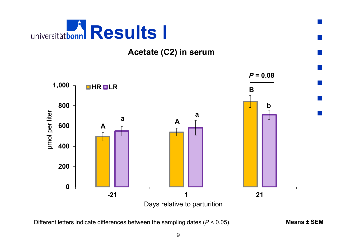

#### **Acetate (C2) in serum**



Different letters indicate differences between the sampling dates (*P* < 0.05). **Means ± SEM**

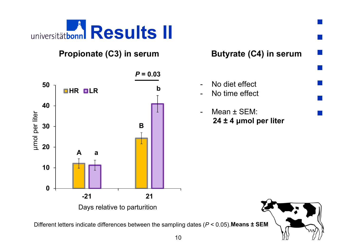

### **Propionate (C3) in serum**



**Butyrate (C4) in serum**

- - No diet effect -No time effect
- - Mean ± SEM: **24 ± 4 μmol per liter**



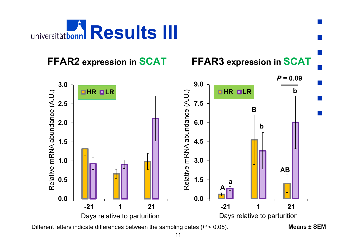

### **FFAR2** expression in SCAT



**expression in SCAT FFAR3 expression in SCAT**

Different letters indicate differences between the sampling dates (*P* < 0.05).

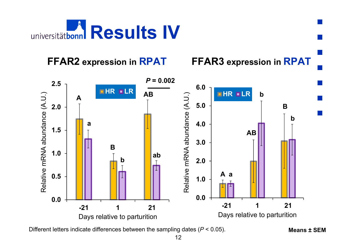

### **FFAR2** expression in **RPAT**

*P* **= 0.002 2.5 6.0HR LR ABHR LR** Relative mRNA abundance (A.U.) Relative mRNA abundance (A.U.) **b**Relative mRNA abundance (A.U.) Relative mRNA abundance (A.U.) **A5.0 B2.0 b 4.0 a 1.5 AB 3.0 B1.0 ab b2.0 Aa0.5 1.0 0.0 0.0 -21 1 21-21 1 21**Days relative to parturition Days relative to parturition

**expression in RPAT FFAR3 expression in RPAT**

Different letters indicate differences between the sampling dates (*P* < 0.05).

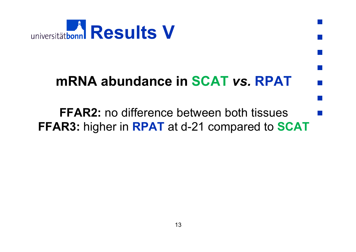

## **mRNA abundance in SCAT** *vs.* **RPAT**

 $\mathcal{L}^{\text{max}}_{\text{max}}$ 

**FFAR2:** no difference between both tissues**FFAR3:** higher in **RPAT** at d-21 compared to **SCAT**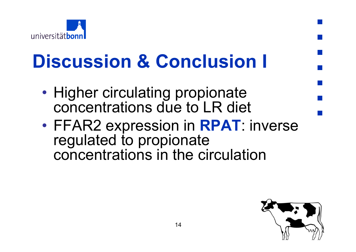

# **Discussion & Conclusion I**

- •• Higher circulating propionate concentrations due to LR diet
- • FFAR2 expression in **RPAT**: inverse regulated to propionate concentrations in the circulation

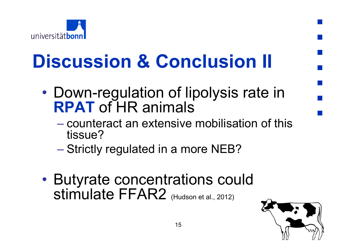

# **Discussion & Conclusion II**

- • Down-regulation of lipolysis rate in **RPAT** of HR animals
	- counteract an extensive mobilisation of this tissue?
	- Strictly regulated in a more NEB?
- $\bullet$  Butyrate concentrations could Stimulate FFAR2 (Hudson et al., 2012)

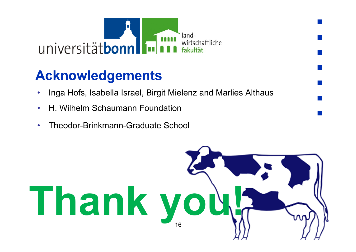

## **Acknowledgements**

- •Inga Hofs, Isabella Israel, Birgit Mielenz and Marlies Althaus
- •H. Wilhelm Schaumann Foundation
- •Theodor-Brinkmann-Graduate School

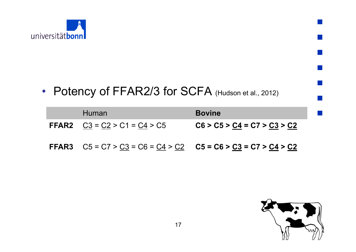

### • Potency of FFAR2/3 for SCFA (Hudson et al., 2012)

| <b>Human</b>                                                              | <b>Bovine</b>                 |
|---------------------------------------------------------------------------|-------------------------------|
| <b>FFAR2</b> $\underline{C3} = \underline{C2} > C1 = \underline{C4} > C5$ | $CG > C5 > C4 = C7 > C3 > C2$ |
| <b>FFAR3</b> $C5 = C7 > C3 = C6 = C4 > C2$ $C5 = C6 > C3 = C7 > C4 > C2$  |                               |

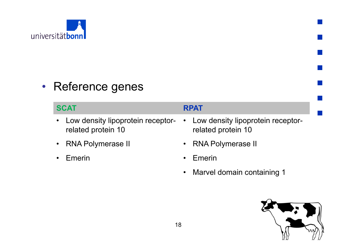

### • Reference genes

### **SCAT**

- $\bullet$  Low density lipoprotein receptorrelated protein 10
- $\bullet$ RNA Polymerase II
- •Emerin

#### **RPAT**

- • Low density lipoprotein receptorrelated protein 10
- $\bullet$ RNA Polymerase II
- •Emerin
- •Marvel domain containing 1

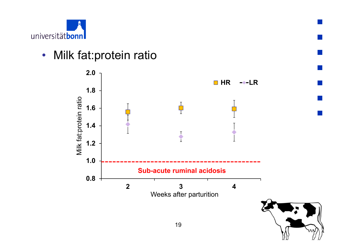

### • Milk fat:protein ratio

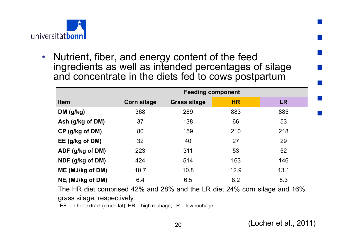

• Nutrient, fiber, and energy content of the feed ingredients as well as intended percentages of silage and concentrate in the diets fed to cows postpartum

|                                                                           | <b>Feeding component</b> |                     |           |           |
|---------------------------------------------------------------------------|--------------------------|---------------------|-----------|-----------|
| <b>Item</b>                                                               | <b>Corn silage</b>       | <b>Grass silage</b> | <b>HR</b> | <b>LR</b> |
| DM (g/kg)                                                                 | 368                      | 289                 | 883       | 885       |
| Ash (g/kg of DM)                                                          | 37                       | 138                 | 66        | 53        |
| CP (g/kg of DM)                                                           | 80                       | 159                 | 210       | 218       |
| EE (g/kg of DM)                                                           | 32                       | 40                  | 27        | 29        |
| ADF (g/kg of DM)                                                          | 223                      | 311                 | 53        | 52        |
| NDF (g/kg of DM)                                                          | 424                      | 514                 | 163       | 146       |
| ME (MJ/kg of DM)                                                          | 10.7                     | 10.8                | 12.9      | 13.1      |
| NE <sub>1</sub> (MJ/kg of DM)                                             | 6.4                      | 6.5                 | 8.2       | 8.3       |
| The HR diet comprised 42% and 28% and the LR diet 24% corn silage and 16% |                          |                     |           |           |
| arooo oilogo roomootiyahy                                                 |                          |                     |           |           |

grass silage, respectively.

 $1EE$  = ether extract (crude fat); HR = high rouhage; LR = low rouhage.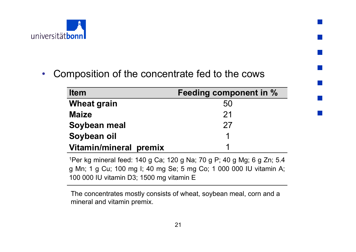

•Composition of the concentrate fed to the cows

| <b>Item</b>                   | <b>Feeding component in %</b> |
|-------------------------------|-------------------------------|
| <b>Wheat grain</b>            | 50                            |
| <b>Maize</b>                  | 21                            |
| Soybean meal                  | 27                            |
| Soybean oil                   | 1                             |
| <b>Vitamin/mineral premix</b> |                               |

1Per kg mineral feed: 140 g Ca; 120 g Na; 70 g P; 40 g Mg; 6 g Zn; 5.4 g Mn; 1 g Cu; 100 mg I; 40 mg Se; 5 mg Co; 1 000 000 IU vitamin A; 100 000 IU vitamin D3; 1500 mg vitamin E

The concentrates mostly consists of wheat, soybean meal, corn and a mineral and vitamin premix.